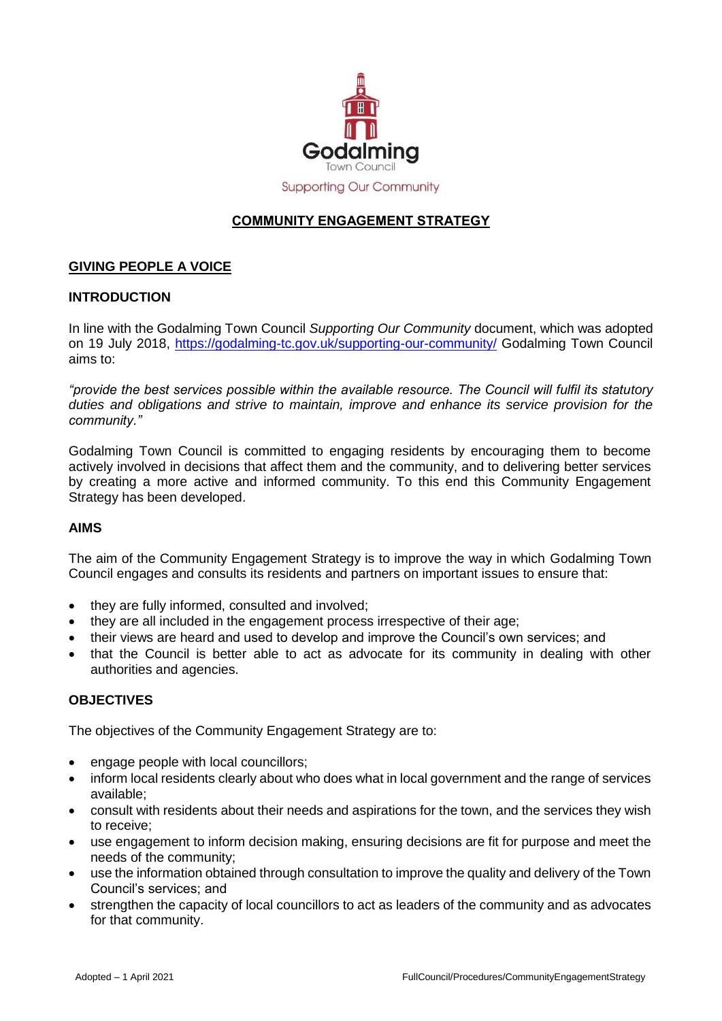

# **COMMUNITY ENGAGEMENT STRATEGY**

## **GIVING PEOPLE A VOICE**

## **INTRODUCTION**

In line with the Godalming Town Council *Supporting Our Community* document, which was adopted on 19 July 2018, <https://godalming-tc.gov.uk/supporting-our-community/> Godalming Town Council aims to:

*"provide the best services possible within the available resource. The Council will fulfil its statutory duties and obligations and strive to maintain, improve and enhance its service provision for the community."*

Godalming Town Council is committed to engaging residents by encouraging them to become actively involved in decisions that affect them and the community, and to delivering better services by creating a more active and informed community. To this end this Community Engagement Strategy has been developed.

#### **AIMS**

The aim of the Community Engagement Strategy is to improve the way in which Godalming Town Council engages and consults its residents and partners on important issues to ensure that:

- they are fully informed, consulted and involved;
- they are all included in the engagement process irrespective of their age;
- their views are heard and used to develop and improve the Council's own services; and
- that the Council is better able to act as advocate for its community in dealing with other authorities and agencies.

## **OBJECTIVES**

The objectives of the Community Engagement Strategy are to:

- engage people with local councillors;
- inform local residents clearly about who does what in local government and the range of services available;
- consult with residents about their needs and aspirations for the town, and the services they wish to receive;
- use engagement to inform decision making, ensuring decisions are fit for purpose and meet the needs of the community;
- use the information obtained through consultation to improve the quality and delivery of the Town Council's services; and
- strengthen the capacity of local councillors to act as leaders of the community and as advocates for that community.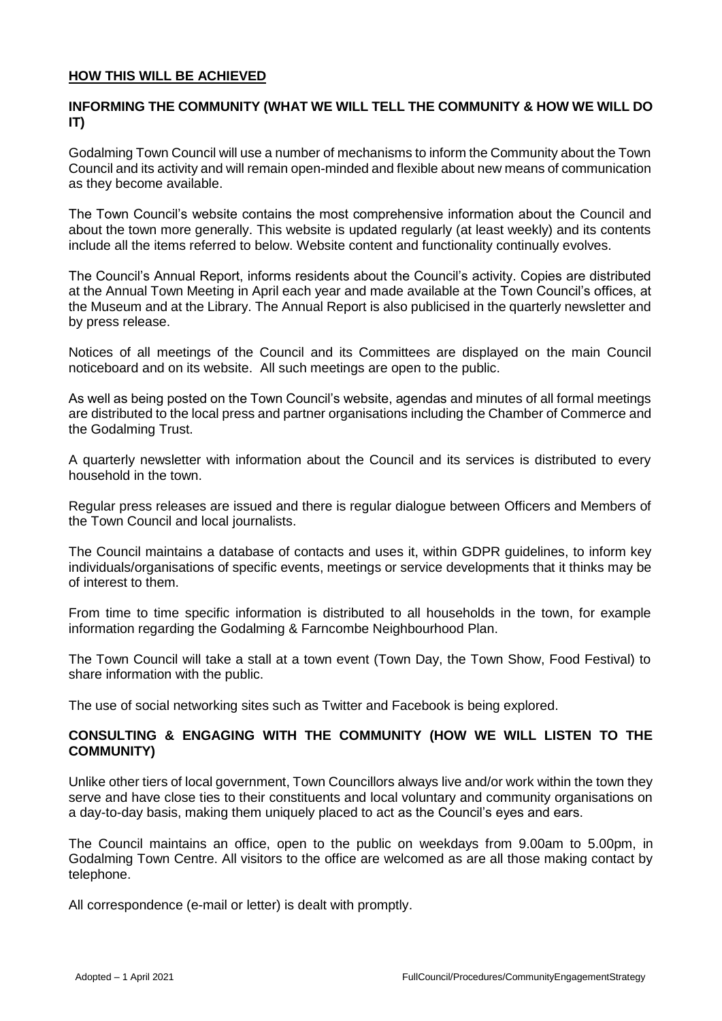#### **HOW THIS WILL BE ACHIEVED**

## **INFORMING THE COMMUNITY (WHAT WE WILL TELL THE COMMUNITY & HOW WE WILL DO IT)**

Godalming Town Council will use a number of mechanisms to inform the Community about the Town Council and its activity and will remain open-minded and flexible about new means of communication as they become available.

The Town Council's website contains the most comprehensive information about the Council and about the town more generally. This website is updated regularly (at least weekly) and its contents include all the items referred to below. Website content and functionality continually evolves.

The Council's Annual Report, informs residents about the Council's activity. Copies are distributed at the Annual Town Meeting in April each year and made available at the Town Council's offices, at the Museum and at the Library. The Annual Report is also publicised in the quarterly newsletter and by press release.

Notices of all meetings of the Council and its Committees are displayed on the main Council noticeboard and on its website. All such meetings are open to the public.

As well as being posted on the Town Council's website, agendas and minutes of all formal meetings are distributed to the local press and partner organisations including the Chamber of Commerce and the Godalming Trust.

A quarterly newsletter with information about the Council and its services is distributed to every household in the town.

Regular press releases are issued and there is regular dialogue between Officers and Members of the Town Council and local journalists.

The Council maintains a database of contacts and uses it, within GDPR guidelines, to inform key individuals/organisations of specific events, meetings or service developments that it thinks may be of interest to them.

From time to time specific information is distributed to all households in the town, for example information regarding the Godalming & Farncombe Neighbourhood Plan.

The Town Council will take a stall at a town event (Town Day, the Town Show, Food Festival) to share information with the public.

The use of social networking sites such as Twitter and Facebook is being explored.

#### **CONSULTING & ENGAGING WITH THE COMMUNITY (HOW WE WILL LISTEN TO THE COMMUNITY)**

Unlike other tiers of local government, Town Councillors always live and/or work within the town they serve and have close ties to their constituents and local voluntary and community organisations on a day-to-day basis, making them uniquely placed to act as the Council's eyes and ears.

The Council maintains an office, open to the public on weekdays from 9.00am to 5.00pm, in Godalming Town Centre. All visitors to the office are welcomed as are all those making contact by telephone.

All correspondence (e-mail or letter) is dealt with promptly.